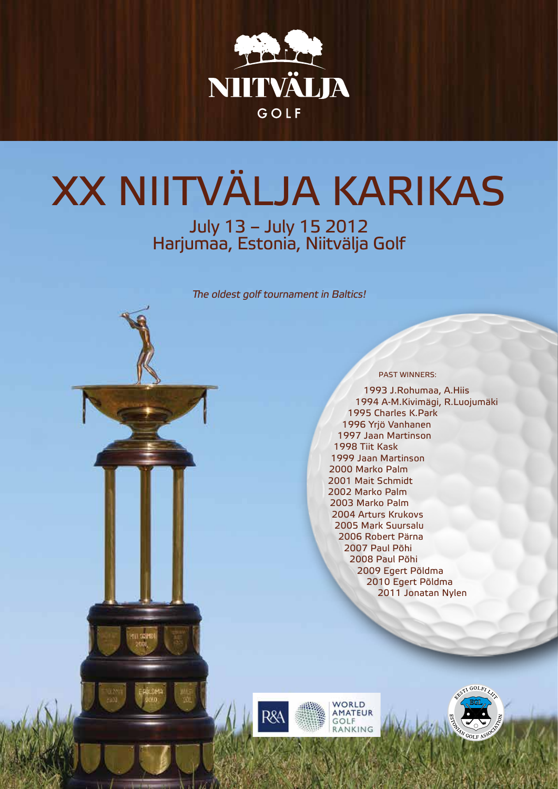

# XX NIITVÄLJA KARIKAS

July 13 – July 15 2012 Harjumaa, Estonia, Niitvälja Golf

The oldest golf tournament in Baltics!



1993 J.Rohumaa, A.Hiis 1994 A-M.Kivimägi, R.Luojumäki 1995 Charles K.Park 1996 Yrjö Vanhanen 1997 Jaan Martinson 1998 Tiit Kask 1999 Jaan Martinson 2000 Marko Palm 2001 Mait Schmidt 2002 Marko Palm 2003 Marko Palm 2004 Arturs Krukovs 2005 Mark Suursalu 2006 Robert Pärna 2007 Paul Põhi 2008 Paul Põhi 2009 Egert Põldma 2010 Egert Põldma 2011 Jonatan Nylen



WORLD **MATEUR** GOLF RANKING

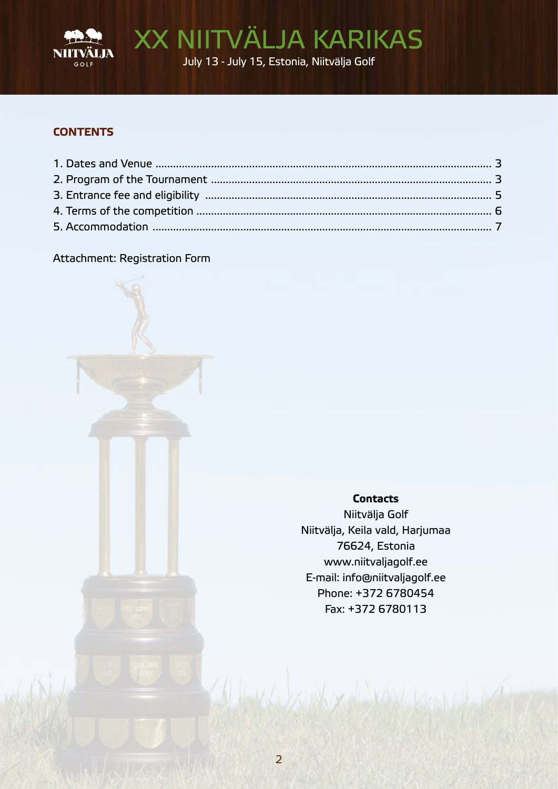

XX NIITVÄLJA KARIKAS July 13 - July 15, Estonia, Niitvälja Golf

## **CONTENTS**

### Attachment: Registration Form

**Contacts** 

Niitvälja Golf Niitvälja, Keila vald, Harjumaa 76624, Estonia www.niitvaljagolf.ee E-mail: info@niitvaljagolf.ee Phone: +372 6780454 Fax: +372 6780113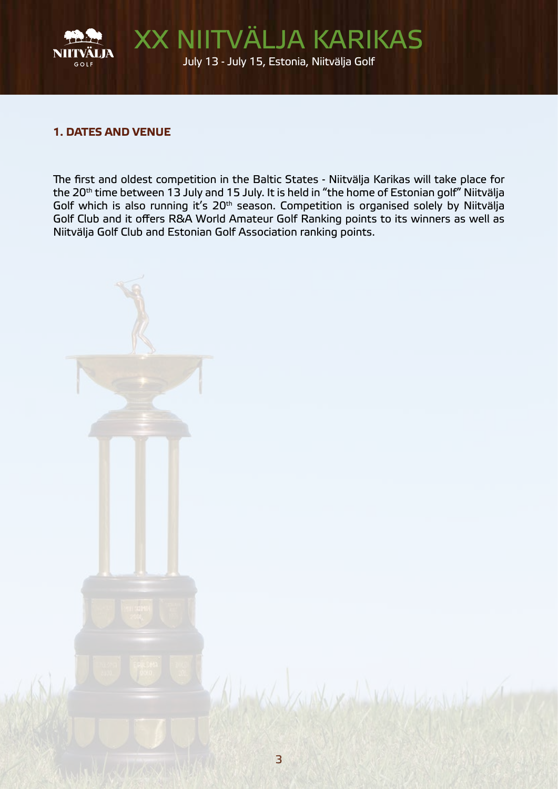

## 1. DATES AND VENUE

The first and oldest competition in the Baltic States - Niitvälja Karikas will take place for the 20<sup>th</sup> time between 13 July and 15 July. It is held in "the home of Estonian golf" Niitvälja Golf which is also running it's 20th season. Competition is organised solely by Niitvälja Golf Club and it offers R&A World Amateur Golf Ranking points to its winners as well as Niitvälja Golf Club and Estonian Golf Association ranking points.

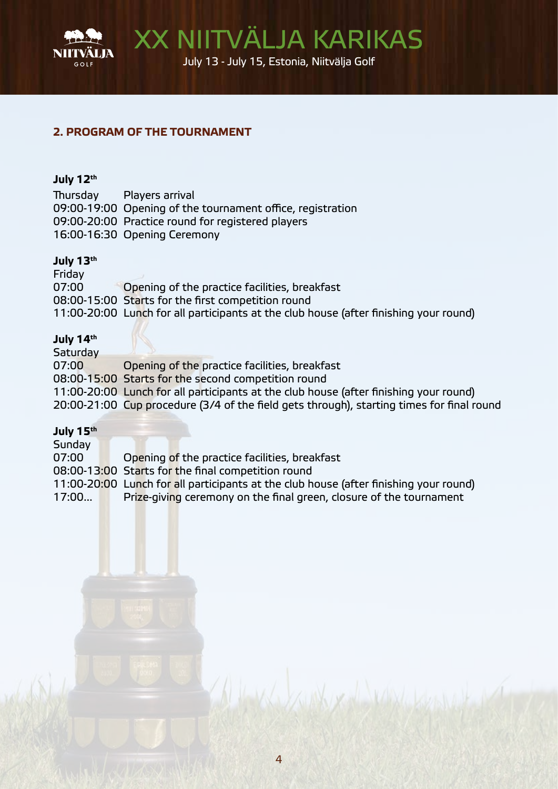

XX NIITVÄLJA KARIKAS July 13 - July 15, Estonia, Niitvälja Golf

## 2. PROGRAM OF THE TOURNAMENT

#### July 12th

Thursday Players arrival 09:00-19:00 Opening of the tournament office, registration 09:00-20:00 Practice round for registered players 16:00-16:30 Opening Ceremony

#### July 13th

Friday 07:00 Opening of the practice facilities, breakfast 08:00-15:00 Starts for the first competition round 11:00-20:00 Lunch for all participants at the club house (after finishing your round)

#### July 14th

**Saturday** 07:00 Opening of the practice facilities, breakfast 08:00-15:00 Starts for the second competition round 11:00-20:00 Lunch for all participants at the club house (after finishing your round) 20:00-21:00 Cup procedure (3/4 of the field gets through), starting times for final round

#### July 15th

Sunday 07:00 Opening of the practice facilities, breakfast 08:00-13:00 Starts for the final competition round 11:00-20:00 Lunch for all participants at the club house (after finishing your round) 17:00... Prize-giving ceremony on the final green, closure of the tournament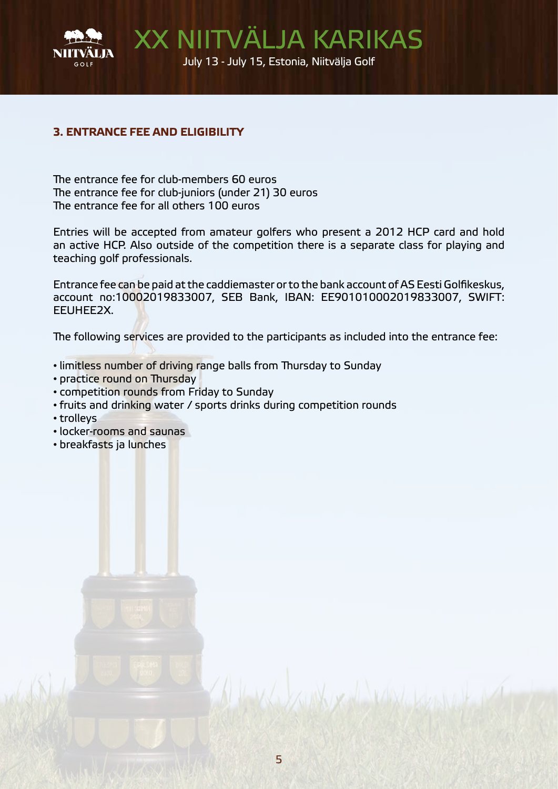

## 3. ENTRANCE FEE AND ELIGIBILITY

The entrance fee for club-members 60 euros The entrance fee for club-juniors (under 21) 30 euros The entrance fee for all others 100 euros

Entries will be accepted from amateur golfers who present a 2012 HCP card and hold an active HCP. Also outside of the competition there is a separate class for playing and teaching golf professionals.

Entrance fee can be paid at the caddiemaster or to the bank account of AS Eesti Golfikeskus, account no:10002019833007, SEB Bank, IBAN: EE901010002019833007, SWIFT: EEUHEE2X.

The following services are provided to the participants as included into the entrance fee:

- limitless number of driving range balls from Thursday to Sunday
- practice round on Thursday
- competition rounds from Friday to Sunday
- fruits and drinking water / sports drinks during competition rounds
- trolleys
- locker-rooms and saunas
- breakfasts ja lunches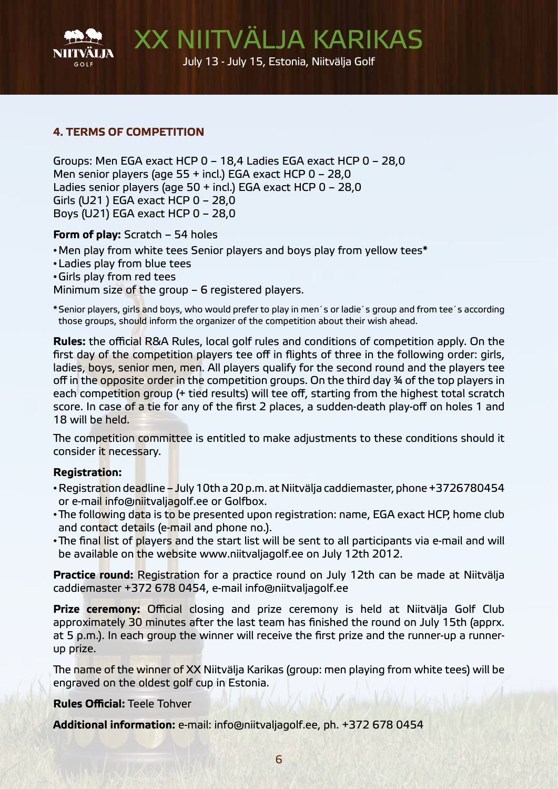

## 4. TERMS OF COMPETITION

Groups: Men EGA exact HCP 0 – 18,4 Ladies EGA exact HCP 0 – 28,0 Men senior players (age 55 + incl.) EGA exact HCP 0 – 28,0 Ladies senior players (age 50 + incl.) EGA exact HCP 0 – 28,0 Girls (U21 ) EGA exact HCP 0 – 28,0 Boys (U21) EGA exact HCP 0 – 28,0

Form of play: Scratch – 54 holes

•Men play from white tees Senior players and boys play from yellow tees\*

- •Ladies play from blue tees
- •Girls play from red tees

Minimum size of the group – 6 registered players.

\*Senior players, girls and boys, who would prefer to play in men´s or ladie´s group and from tee´s according those groups, should inform the organizer of the competition about their wish ahead.

Rules: the official R&A Rules, local golf rules and conditions of competition apply. On the first day of the competition players tee off in flights of three in the following order: girls, ladies, boys, senior men, men. All players qualify for the second round and the players tee off in the opposite order in the competition groups. On the third day 34 of the top players in each competition group (+ tied results) will tee off, starting from the highest total scratch score. In case of a tie for any of the first 2 places, a sudden-death play-off on holes 1 and 18 will be held.

The competition committee is entitled to make adjustments to these conditions should it consider it necessary.

#### Registration:

- Registration deadline July 10th a 20 p.m. at Niitvälja caddiemaster, phone +3726780454 or e-mail info@niitvaljagolf.ee or Golfbox.
- The following data is to be presented upon registration: name, EGA exact HCP, home club and contact details (e-mail and phone no.).
- The final list of players and the start list will be sent to all participants via e-mail and will be available on the website www.niitvaliagolf.ee on July 12th 2012.

**Practice round:** Registration for a practice round on July 12th can be made at Niitvälja caddiemaster +372 678 0454, e-mail info@niitvaljagolf.ee

Prize ceremony: Official closing and prize ceremony is held at Niitvälja Golf Club approximately 30 minutes after the last team has finished the round on July 15th (apprx. at 5 p.m.). In each group the winner will receive the first prize and the runner-up a runnerup prize.

The name of the winner of XX Niitvälja Karikas (group: men playing from white tees) will be engraved on the oldest golf cup in Estonia.

Rules Official: Teele Tohver

Additional information: e-mail: info@niitvaljagolf.ee, ph. +372 678 0454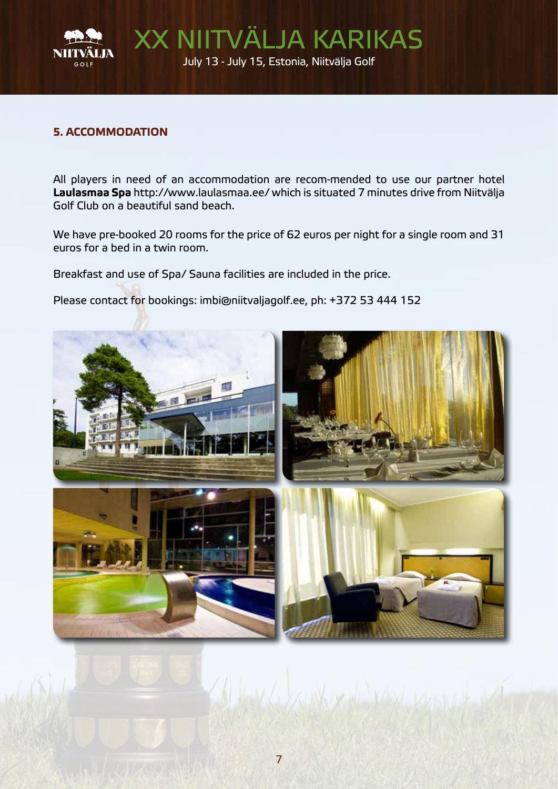

#### 5. ACCOMMODATION

All players in need of an accommodation are recom-mended to use our partner hotel Laulasmaa Spa http://www.laulasmaa.ee/ which is situated 7 minutes drive from Niitvälja Golf Club on a beautiful sand beach.

We have pre-booked 20 rooms for the price of 62 euros per night for a single room and 31 euros for a bed in a twin room.

Breakfast and use of Spa/ Sauna facilities are included in the price.

Please contact for bookings: imbi@niitvaljagolf.ee, ph: +372 53 444 152